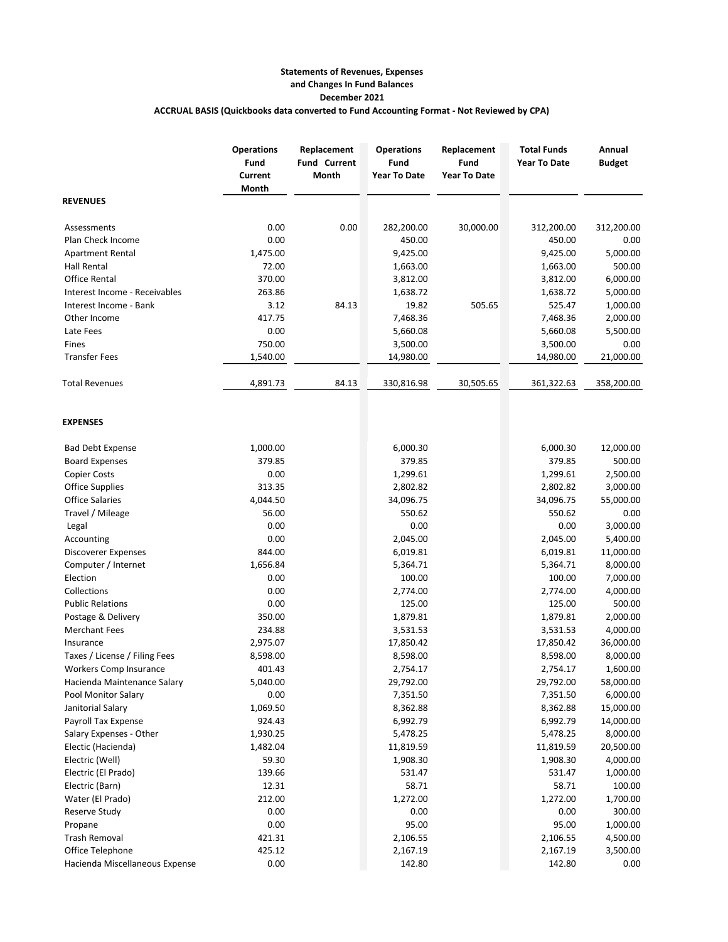## **Statements of Revenues, Expenses and Changes In Fund Balances December 2021 ACCRUAL BASIS (Quickbooks data converted to Fund Accounting Format - Not Reviewed by CPA)**

|                                | <b>Operations</b><br>Fund<br>Current<br>Month | Replacement<br><b>Fund Current</b><br>Month | <b>Operations</b><br>Fund<br><b>Year To Date</b> | Replacement<br>Fund<br><b>Year To Date</b> | <b>Total Funds</b><br><b>Year To Date</b> | Annual<br><b>Budget</b> |
|--------------------------------|-----------------------------------------------|---------------------------------------------|--------------------------------------------------|--------------------------------------------|-------------------------------------------|-------------------------|
| <b>REVENUES</b>                |                                               |                                             |                                                  |                                            |                                           |                         |
| Assessments                    | 0.00                                          | 0.00                                        | 282,200.00                                       | 30,000.00                                  | 312,200.00                                | 312,200.00              |
| Plan Check Income              | 0.00                                          |                                             | 450.00                                           |                                            | 450.00                                    | 0.00                    |
| <b>Apartment Rental</b>        | 1,475.00                                      |                                             | 9,425.00                                         |                                            | 9,425.00                                  | 5,000.00                |
| Hall Rental                    | 72.00                                         |                                             | 1,663.00                                         |                                            | 1,663.00                                  | 500.00                  |
| <b>Office Rental</b>           | 370.00                                        |                                             | 3,812.00                                         |                                            | 3,812.00                                  | 6,000.00                |
| Interest Income - Receivables  | 263.86                                        |                                             | 1,638.72                                         |                                            | 1,638.72                                  | 5,000.00                |
| Interest Income - Bank         | 3.12                                          | 84.13                                       | 19.82                                            | 505.65                                     | 525.47                                    | 1,000.00                |
| Other Income                   | 417.75                                        |                                             | 7,468.36                                         |                                            | 7,468.36                                  | 2,000.00                |
| Late Fees                      | 0.00                                          |                                             | 5,660.08                                         |                                            | 5,660.08                                  | 5,500.00                |
| Fines                          | 750.00                                        |                                             | 3,500.00                                         |                                            | 3,500.00                                  | 0.00                    |
| <b>Transfer Fees</b>           | 1,540.00                                      |                                             | 14,980.00                                        |                                            | 14,980.00                                 | 21,000.00               |
| <b>Total Revenues</b>          | 4,891.73                                      | 84.13                                       | 330,816.98                                       | 30,505.65                                  | 361,322.63                                | 358,200.00              |
| <b>EXPENSES</b>                |                                               |                                             |                                                  |                                            |                                           |                         |
| <b>Bad Debt Expense</b>        | 1,000.00                                      |                                             | 6,000.30                                         |                                            | 6,000.30                                  | 12,000.00               |
| <b>Board Expenses</b>          | 379.85                                        |                                             | 379.85                                           |                                            | 379.85                                    | 500.00                  |
| <b>Copier Costs</b>            | 0.00                                          |                                             | 1,299.61                                         |                                            | 1,299.61                                  | 2,500.00                |
| <b>Office Supplies</b>         | 313.35                                        |                                             | 2,802.82                                         |                                            | 2,802.82                                  | 3,000.00                |
| <b>Office Salaries</b>         | 4,044.50                                      |                                             | 34,096.75                                        |                                            | 34,096.75                                 | 55,000.00               |
| Travel / Mileage               | 56.00                                         |                                             | 550.62                                           |                                            | 550.62                                    | 0.00                    |
| Legal                          | 0.00                                          |                                             | 0.00                                             |                                            | 0.00                                      | 3,000.00                |
| Accounting                     | 0.00                                          |                                             | 2,045.00                                         |                                            | 2,045.00                                  | 5,400.00                |
| Discoverer Expenses            | 844.00                                        |                                             | 6,019.81                                         |                                            | 6,019.81                                  | 11,000.00               |
| Computer / Internet            | 1,656.84                                      |                                             | 5,364.71                                         |                                            | 5,364.71                                  | 8,000.00                |
| Election                       | 0.00                                          |                                             | 100.00                                           |                                            | 100.00                                    | 7,000.00                |
| Collections                    | 0.00                                          |                                             | 2,774.00                                         |                                            | 2,774.00                                  | 4,000.00                |
| <b>Public Relations</b>        | 0.00                                          |                                             | 125.00                                           |                                            | 125.00                                    | 500.00                  |
| Postage & Delivery             | 350.00                                        |                                             | 1,879.81                                         |                                            | 1,879.81                                  | 2,000.00                |
| <b>Merchant Fees</b>           | 234.88                                        |                                             | 3,531.53                                         |                                            | 3,531.53                                  | 4,000.00                |
| Insurance                      | 2,975.07                                      |                                             | 17,850.42                                        |                                            | 17,850.42                                 | 36,000.00               |
| Taxes / License / Filing Fees  | 8,598.00                                      |                                             | 8,598.00                                         |                                            | 8,598.00                                  | 8,000.00                |
| Workers Comp Insurance         | 401.43                                        |                                             | 2,754.17                                         |                                            | 2,754.17                                  | 1,600.00                |
| Hacienda Maintenance Salary    | 5,040.00                                      |                                             | 29,792.00                                        |                                            | 29,792.00                                 | 58,000.00               |
| Pool Monitor Salary            | 0.00                                          |                                             | 7,351.50                                         |                                            | 7,351.50                                  | 6,000.00                |
| Janitorial Salary              | 1,069.50                                      |                                             | 8,362.88                                         |                                            | 8,362.88                                  | 15,000.00               |
| Payroll Tax Expense            | 924.43                                        |                                             | 6,992.79                                         |                                            | 6,992.79                                  | 14,000.00               |
| Salary Expenses - Other        | 1,930.25                                      |                                             | 5,478.25                                         |                                            | 5,478.25                                  | 8,000.00                |
| Electic (Hacienda)             | 1,482.04                                      |                                             | 11,819.59                                        |                                            | 11,819.59                                 | 20,500.00               |
| Electric (Well)                | 59.30                                         |                                             | 1,908.30                                         |                                            | 1,908.30                                  | 4,000.00                |
| Electric (El Prado)            | 139.66                                        |                                             | 531.47                                           |                                            | 531.47                                    | 1,000.00                |
| Electric (Barn)                | 12.31                                         |                                             | 58.71                                            |                                            | 58.71                                     | 100.00                  |
| Water (El Prado)               | 212.00                                        |                                             | 1,272.00                                         |                                            | 1,272.00                                  | 1,700.00                |
| Reserve Study                  | 0.00                                          |                                             | 0.00                                             |                                            | 0.00                                      | 300.00                  |
| Propane                        | 0.00                                          |                                             | 95.00                                            |                                            | 95.00                                     | 1,000.00                |
| <b>Trash Removal</b>           | 421.31                                        |                                             | 2,106.55                                         |                                            | 2,106.55                                  | 4,500.00                |
| Office Telephone               | 425.12                                        |                                             | 2,167.19                                         |                                            | 2,167.19                                  | 3,500.00                |
| Hacienda Miscellaneous Expense | 0.00                                          |                                             | 142.80                                           |                                            | 142.80                                    | 0.00                    |